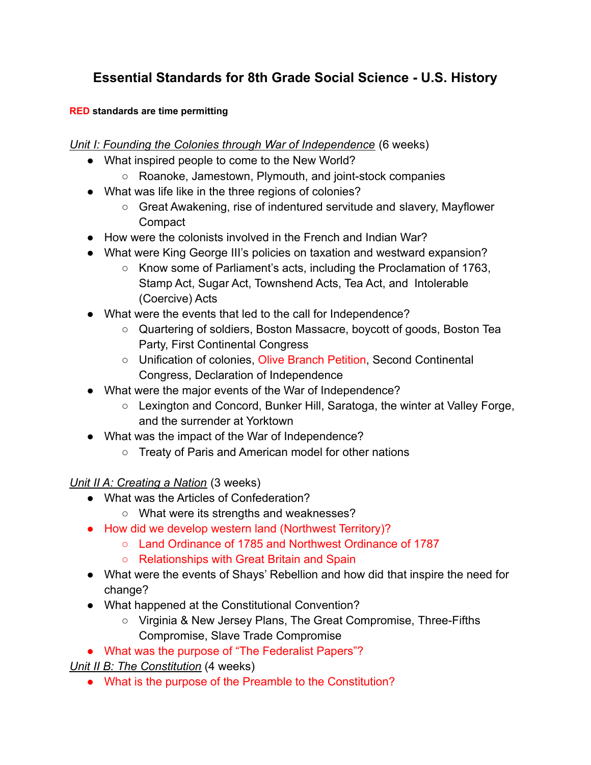# **Essential Standards for 8th Grade Social Science - U.S. History**

#### **RED standards are time permitting**

*Unit I: Founding the Colonies through War of Independence* (6 weeks)

- What inspired people to come to the New World?
	- Roanoke, Jamestown, Plymouth, and joint-stock companies
- What was life like in the three regions of colonies?
	- Great Awakening, rise of indentured servitude and slavery, Mayflower **Compact**
- How were the colonists involved in the French and Indian War?
- What were King George III's policies on taxation and westward expansion?
	- Know some of Parliament's acts, including the Proclamation of 1763, Stamp Act, Sugar Act, Townshend Acts, Tea Act, and Intolerable (Coercive) Acts
- What were the events that led to the call for Independence?
	- Quartering of soldiers, Boston Massacre, boycott of goods, Boston Tea Party, First Continental Congress
	- Unification of colonies, Olive Branch Petition, Second Continental Congress, Declaration of Independence
- What were the major events of the War of Independence?
	- Lexington and Concord, Bunker Hill, Saratoga, the winter at Valley Forge, and the surrender at Yorktown
- What was the impact of the War of Independence?
	- Treaty of Paris and American model for other nations

### *Unit II A: Creating a Nation* (3 weeks)

- What was the Articles of Confederation?
	- What were its strengths and weaknesses?
- How did we develop western land (Northwest Territory)?
	- Land Ordinance of 1785 and Northwest Ordinance of 1787
	- Relationships with Great Britain and Spain
- What were the events of Shays' Rebellion and how did that inspire the need for change?
- What happened at the Constitutional Convention?
	- Virginia & New Jersey Plans, The Great Compromise, Three-Fifths Compromise, Slave Trade Compromise
- What was the purpose of "The Federalist Papers"?

*Unit II B: The Constitution* (4 weeks)

● What is the purpose of the Preamble to the Constitution?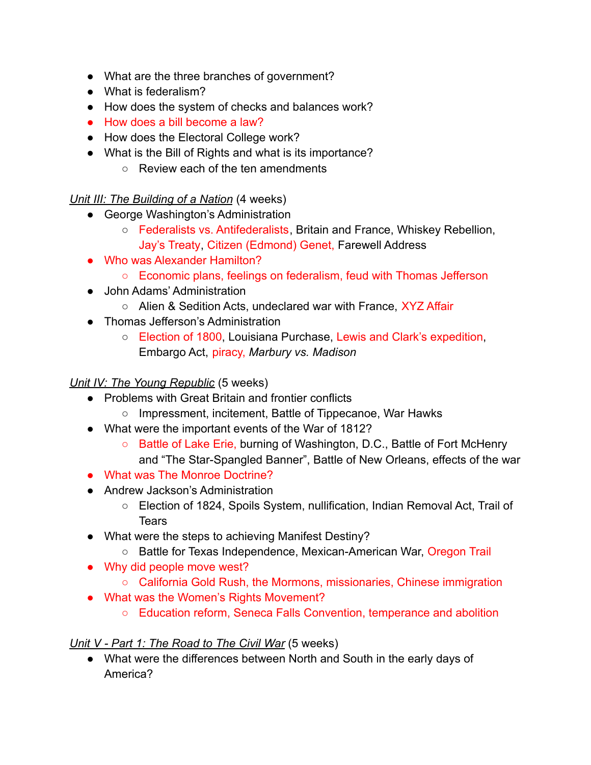- What are the three branches of government?
- What is federalism?
- How does the system of checks and balances work?
- How does a bill become a law?
- How does the Electoral College work?
- What is the Bill of Rights and what is its importance?
	- Review each of the ten amendments

#### *Unit III: The Building of a Nation* (4 weeks)

- George Washington's Administration
	- Federalists vs. Antifederalists, Britain and France, Whiskey Rebellion, Jay's Treaty, Citizen (Edmond) Genet, Farewell Address
- Who was Alexander Hamilton?
	- Economic plans, feelings on federalism, feud with Thomas Jefferson
- John Adams' Administration
	- Alien & Sedition Acts, undeclared war with France, XYZ Affair
- Thomas Jefferson's Administration
	- Election of 1800, Louisiana Purchase, Lewis and Clark's expedition, Embargo Act, piracy, *Marbury vs. Madison*

#### *Unit IV: The Young Republic* (5 weeks)

- Problems with Great Britain and frontier conflicts
	- Impressment, incitement, Battle of Tippecanoe, War Hawks
- What were the important events of the War of 1812?
	- Battle of Lake Erie, burning of Washington, D.C., Battle of Fort McHenry and "The Star-Spangled Banner", Battle of New Orleans, effects of the war
- What was The Monroe Doctrine?
- Andrew Jackson's Administration
	- Election of 1824, Spoils System, nullification, Indian Removal Act, Trail of **Tears**
- What were the steps to achieving Manifest Destiny?
	- Battle for Texas Independence, Mexican-American War, Oregon Trail
- Why did people move west?
	- California Gold Rush, the Mormons, missionaries, Chinese immigration
- What was the Women's Rights Movement?
	- Education reform, Seneca Falls Convention, temperance and abolition

### *Unit V - Part 1: The Road to The Civil War* (5 weeks)

● What were the differences between North and South in the early days of America?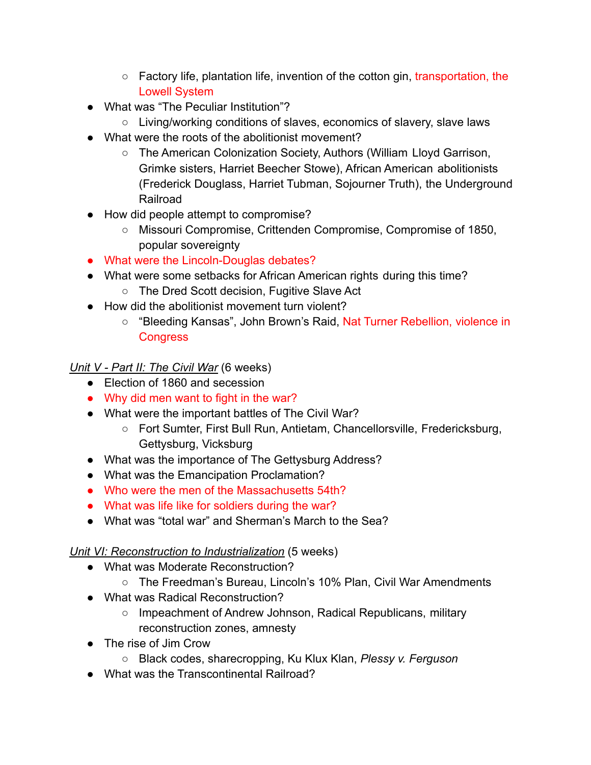- Factory life, plantation life, invention of the cotton gin, transportation, the Lowell System
- What was "The Peculiar Institution"?
	- Living/working conditions of slaves, economics of slavery, slave laws
- What were the roots of the abolitionist movement?
	- The American Colonization Society, Authors (William Lloyd Garrison, Grimke sisters, Harriet Beecher Stowe), African American abolitionists (Frederick Douglass, Harriet Tubman, Sojourner Truth), the Underground Railroad
- How did people attempt to compromise?
	- Missouri Compromise, Crittenden Compromise, Compromise of 1850, popular sovereignty
- What were the Lincoln-Douglas debates?
- What were some setbacks for African American rights during this time?
	- The Dred Scott decision, Fugitive Slave Act
- How did the abolitionist movement turn violent?
	- "Bleeding Kansas", John Brown's Raid, Nat Turner Rebellion, violence in **Congress**

*Unit V - Part II: The Civil War* (6 weeks)

- Election of 1860 and secession
- Why did men want to fight in the war?
- What were the important battles of The Civil War?
	- Fort Sumter, First Bull Run, Antietam, Chancellorsville, Fredericksburg, Gettysburg, Vicksburg
- What was the importance of The Gettysburg Address?
- What was the Emancipation Proclamation?
- Who were the men of the Massachusetts 54th?
- What was life like for soldiers during the war?
- What was "total war" and Sherman's March to the Sea?

## *Unit VI: Reconstruction to Industrialization* (5 weeks)

- What was Moderate Reconstruction?
	- The Freedman's Bureau, Lincoln's 10% Plan, Civil War Amendments
- What was Radical Reconstruction?
	- Impeachment of Andrew Johnson, Radical Republicans, military reconstruction zones, amnesty
- The rise of Jim Crow
	- Black codes, sharecropping, Ku Klux Klan, *Plessy v. Ferguson*
- What was the Transcontinental Railroad?